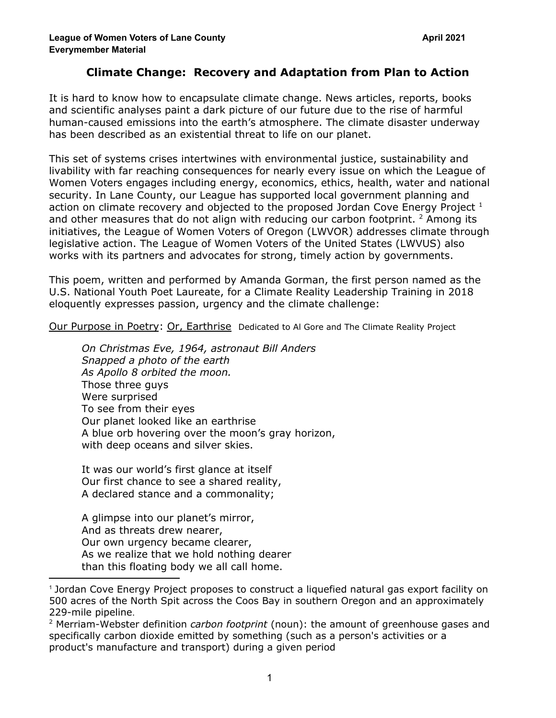## **Climate Change: Recovery and Adaptation from Plan to Action**

It is hard to know how to encapsulate climate change. News articles, reports, books and scientific analyses paint a dark picture of our future due to the rise of harmful human-caused emissions into the earth's atmosphere. The climate disaster underway has been described as an existential threat to life on our planet.

This set of systems crises intertwines with environmental justice, sustainability and livability with far reaching consequences for nearly every issue on which the League of Women Voters engages including energy, economics, ethics, health, water and national security. In Lane County, our League has supported local government planning and action on climate recovery and objected to the proposed Jordan Cove Energy Project  $^1$ and other measures that do not align with reducing our carbon footprint.  $2$  Among its initiatives, the League of Women Voters of Oregon (LWVOR) addresses climate through legislative action. The League of Women Voters of the United States (LWVUS) also works with its partners and advocates for strong, timely action by governments.

This poem, written and performed by Amanda [Gorman,](https://www.theamandagorman.com/) the first person named as the U.S. National Youth Poet [Laureate,](https://www.theamandagorman.com/) for a Climate Reality Leadership Training in 2018 eloquently expresses passion, urgency and the climate challenge:

Our Purpose in Poetry: Or, Earthrise Dedicated to Al Gore and The Climate Reality Project

*On Christmas Eve, 1964, astronaut Bill Anders Snapped a photo of the earth As Apollo 8 orbited the moon.* Those three guys Were surprised To see from their eyes Our planet looked like an earthrise A blue orb hovering over the moon's gray horizon, with deep oceans and silver skies.

It was our world's first glance at itself Our first chance to see a shared reality, A declared stance and a commonality;

A glimpse into our planet's mirror, And as threats drew nearer, Our own urgency became clearer, As we realize that we hold nothing dearer than this floating body we all call home.

<sup>1</sup> Jordan Cove Energy Project proposes to construct a liquefied natural gas export facility on 500 acres of the North Spit across the Coos Bay in southern Oregon and an approximately 229-mile pipeline.

<sup>2</sup> Merriam-Webster definition *carbon footprint* (noun): the amount of greenhouse gases and specifically carbon dioxide emitted by something (such as a person's activities or a product's manufacture and transport) during a given period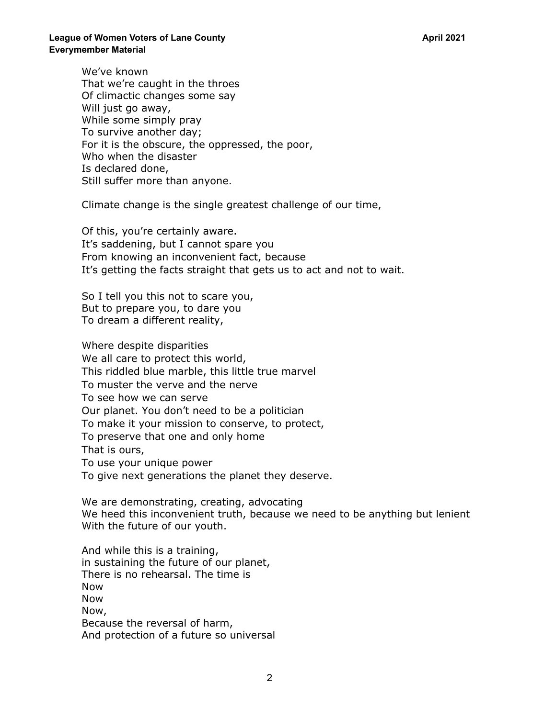We've known That we're caught in the throes Of climactic changes some say Will just go away, While some simply pray To survive another day; For it is the obscure, the oppressed, the poor, Who when the disaster Is declared done, Still suffer more than anyone.

Climate change is the single greatest challenge of our time,

Of this, you're certainly aware. It's saddening, but I cannot spare you From knowing an inconvenient fact, because It's getting the facts straight that gets us to act and not to wait.

So I tell you this not to scare you, But to prepare you, to dare you To dream a different reality,

Where despite disparities We all care to protect this world, This riddled blue marble, this little true marvel To muster the verve and the nerve To see how we can serve Our planet. You don't need to be a politician To make it your mission to conserve, to protect, To preserve that one and only home That is ours, To use your unique power To give next generations the planet they deserve.

We are demonstrating, creating, advocating We heed this inconvenient truth, because we need to be anything but lenient With the future of our youth.

And while this is a training, in sustaining the future of our planet, There is no rehearsal. The time is Now Now Now, Because the reversal of harm, And protection of a future so universal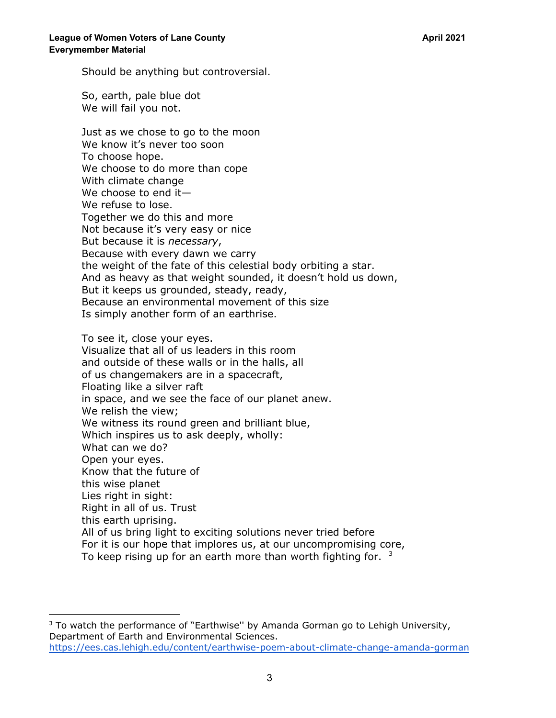Should be anything but controversial.

So, earth, pale blue dot We will fail you not.

Just as we chose to go to the moon We know it's never too soon To choose hope. We choose to do more than cope With climate change We choose to end it— We refuse to lose. Together we do this and more Not because it's very easy or nice But because it is *necessary*, Because with every dawn we carry the weight of the fate of this celestial body orbiting a star. And as heavy as that weight sounded, it doesn't hold us down, But it keeps us grounded, steady, ready, Because an environmental movement of this size Is simply another form of an earthrise.

To see it, close your eyes. Visualize that all of us leaders in this room and outside of these walls or in the halls, all of us changemakers are in a spacecraft, Floating like a silver raft in space, and we see the face of our planet anew. We relish the view; We witness its round green and brilliant blue, Which inspires us to ask deeply, wholly: What can we do? Open your eyes. Know that the future of this wise planet Lies right in sight: Right in all of us. Trust this earth uprising. All of us bring light to exciting solutions never tried before For it is our hope that implores us, at our uncompromising core, To keep rising up for an earth more than worth fighting for.  $3$ 

 $3$  To watch the performance of "Earthwise" by Amanda Gorman go to Lehigh University, Department of Earth and Environmental Sciences. <https://ees.cas.lehigh.edu/content/earthwise-poem-about-climate-change-amanda-gorman>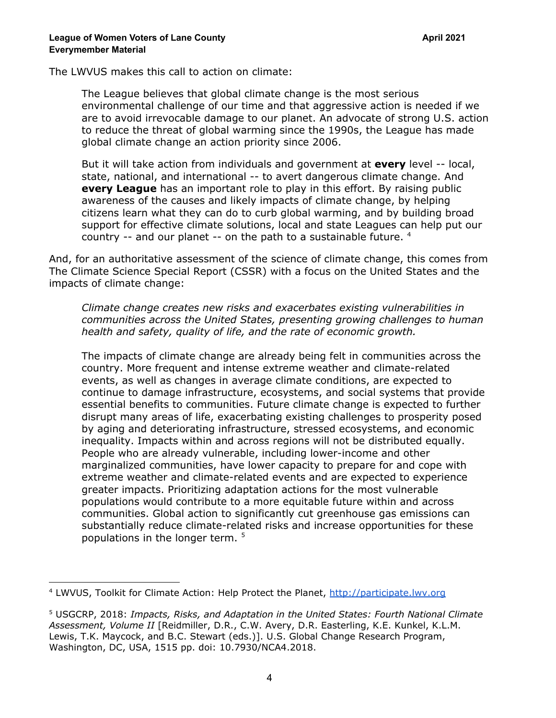The LWVUS makes this call to action on climate:

The League believes that global climate change is the most serious environmental challenge of our time and that aggressive action is needed if we are to avoid irrevocable damage to our planet. An advocate of strong U.S. action to reduce the threat of global warming since the 1990s, the League has made global climate change an action priority since 2006.

But it will take action from individuals and government at **every** level -- local, state, national, and international -- to avert dangerous climate change. And **every League** has an important role to play in this effort. By raising public awareness of the causes and likely impacts of climate change, by helping citizens learn what they can do to curb global warming, and by building broad support for effective climate solutions, local and state Leagues can help put our country  $-$  and our planet  $-$  on the path to a sustainable future.  $4$ 

And, for an authoritative assessment of the science of climate change, this comes from The Climate Science Special Report (CSSR) with a focus on the United States and the impacts of climate change:

*Climate change creates new risks and exacerbates existing vulnerabilities in communities across the United States, presenting growing challenges to human health and safety, quality of life, and the rate of economic growth.*

The impacts of climate change are already being felt in communities across the country. More frequent and intense extreme weather and climate-related events, as well as changes in average climate conditions, are expected to continue to damage infrastructure, ecosystems, and social systems that provide essential benefits to communities. Future climate change is expected to further disrupt many areas of life, exacerbating existing challenges to prosperity posed by aging and deteriorating infrastructure, stressed ecosystems, and economic inequality. Impacts within and across regions will not be distributed equally. People who are already vulnerable, including lower-income and other marginalized communities, have lower capacity to prepare for and cope with extreme weather and climate-related events and are expected to experience greater impacts. Prioritizing adaptation actions for the most vulnerable populations would contribute to a more equitable future within and across communities. Global action to significantly cut greenhouse gas emissions can substantially reduce climate-related risks and increase opportunities for these populations in the longer term. 5

<sup>4</sup> LWVUS, Toolkit for Climate Action: Help Protect the Planet, <http://participate.lwv.org>

<sup>5</sup> USGCRP, 2018: *Impacts, Risks, and Adaptation in the United States: Fourth National Climate Assessment, Volume II* [Reidmiller, D.R., C.W. Avery, D.R. Easterling, K.E. Kunkel, K.L.M. Lewis, T.K. Maycock, and B.C. Stewart (eds.)]. U.S. Global Change Research Program, Washington, DC, USA, 1515 pp. doi: 10.7930/NCA4.2018.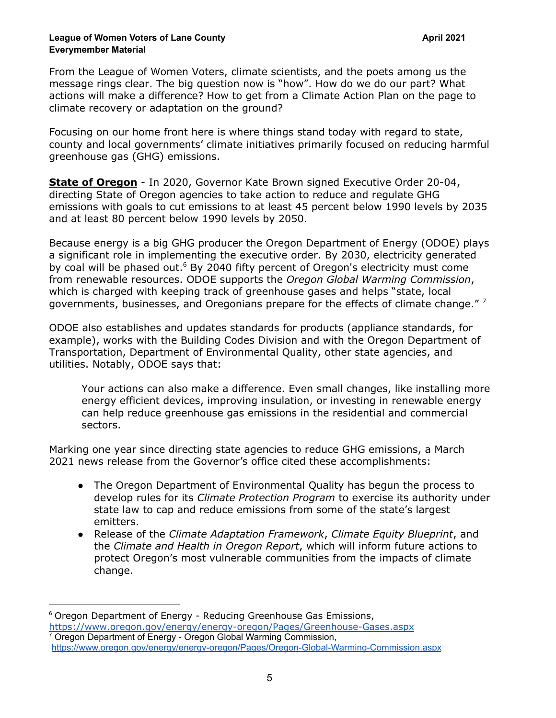## **League of Women Voters of Lane County April 2021 Everymember Material**

From the League of Women Voters, climate scientists, and the poets among us the message rings clear. The big question now is "how". How do we do our part? What actions will make a difference? How to get from a Climate Action Plan on the page to climate recovery or adaptation on the ground?

Focusing on our home front here is where things stand today with regard to state, county and local governments' climate initiatives primarily focused on reducing harmful greenhouse gas (GHG) emissions.

**State of Oregon** - In 2020, Governor Kate Brown signed Executive Order 20-04, directing State of Oregon agencies to take action to reduce and regulate GHG emissions with goals to cut emissions to at least 45 percent below 1990 levels by 2035 and at least 80 percent below 1990 levels by 2050.

Because energy is a big GHG producer the Oregon Department of Energy (ODOE) plays a significant role in implementing the executive order. By 2030, electricity generated by coal will be phased out. <sup>6</sup> By 2040 fifty percent of Oregon's electricity must come from renewable resources. ODOE supports the *Oregon Global Warming [Commission](https://www.oregon.gov/energy/energy-oregon/Pages/Oregon-Global-Warming-Commission.aspx)*, which is charged with keeping track of greenhouse gases and helps "state, local governments, businesses, and Oregonians prepare for the effects of climate change."  $^7$ 

ODOE also establishes and updates standards for products (appliance standards, for example), works with the Building Codes Division and with the Oregon Department of Transportation, Department of Environmental Quality, other state agencies, and utilities. Notably, ODOE says that:

Your actions can also make a difference. Even small changes, like installing more energy efficient devices, improving insulation, or investing in renewable energy can help reduce greenhouse gas emissions in the residential and commercial sectors.

Marking one year since directing state agencies to reduce GHG emissions, a March 2021 news release from the Governor's office cited these accomplishments:

- The Oregon Department of Environmental Quality has begun the process to develop rules for its *Climate Protection Program* to exercise its authority under state law to cap and reduce emissions from some of the state's largest emitters.
- Release of the *Climate Adaptation Framework*, *Climate Equity Blueprint*, and the *Climate and Health in Oregon Report*, which will inform future actions to protect Oregon's most vulnerable communities from the impacts of climate change.

<sup>&</sup>lt;sup>6</sup> Oregon Department of Energy - Reducing Greenhouse Gas Emissions,

<sup>7</sup> Oregon Department of Energy - Oregon Global Warming Commission, <https://www.oregon.gov/energy/energy-oregon/Pages/Greenhouse-Gases.aspx>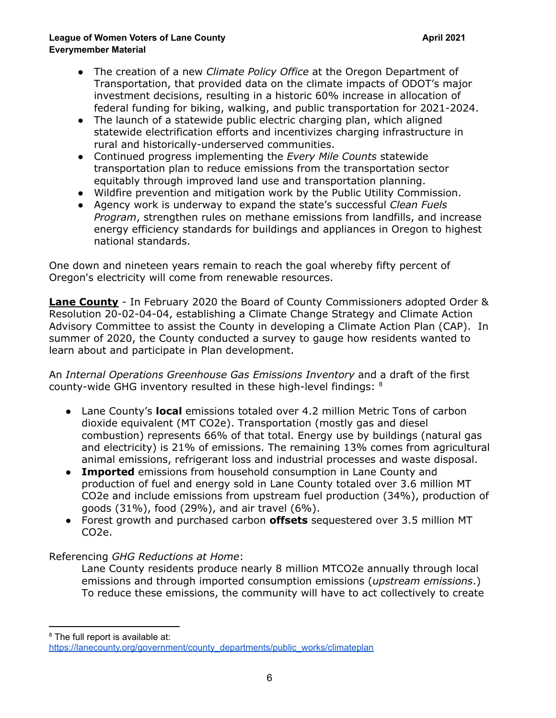## **League of Women Voters of Lane County April 2021 Everymember Material**

- The creation of a new *Climate Policy Office* at the Oregon Department of Transportation, that provided data on the climate impacts of ODOT's major investment decisions, resulting in a historic 60% increase in allocation of federal funding for biking, walking, and public transportation for 2021-2024.
- The launch of a statewide public electric charging plan, which aligned statewide electrification efforts and incentivizes charging infrastructure in rural and historically-underserved communities.
- Continued progress implementing the *Every Mile Counts* statewide transportation plan to reduce emissions from the transportation sector equitably through improved land use and transportation planning.
- Wildfire prevention and mitigation work by the Public Utility Commission.
- Agency work is underway to expand the state's successful *Clean Fuels Program*, strengthen rules on methane emissions from landfills, and increase energy efficiency standards for buildings and appliances in Oregon to highest national standards.

One down and nineteen years remain to reach the goal whereby fifty percent of Oregon's electricity will come from renewable resources.

**Lane County** - In February 2020 the Board of County Commissioners adopted Order & Resolution 20-02-04-04, establishing a Climate Change Strategy and Climate Action Advisory Committee to assist the County in developing a Climate Action Plan (CAP). In summer of 2020, the County conducted a survey to gauge how residents wanted to learn about and participate in Plan development.

An *Internal Operations Greenhouse Gas Emissions Inventory* and a draft of the first county-wide GHG inventory resulted in these high-level findings:  $8$ 

- Lane County's **local** emissions totaled over 4.2 million Metric Tons of carbon dioxide equivalent (MT CO2e). Transportation (mostly gas and diesel combustion) represents 66% of that total. Energy use by buildings (natural gas and electricity) is 21% of emissions. The remaining 13% comes from agricultural animal emissions, refrigerant loss and industrial processes and waste disposal.
- **Imported** emissions from household consumption in Lane County and production of fuel and energy sold in Lane County totaled over 3.6 million MT CO2e and include emissions from upstream fuel production (34%), production of goods (31%), food (29%), and air travel (6%).
- Forest growth and purchased carbon **offsets** sequestered over 3.5 million MT CO2e.

## Referencing *GHG Reductions at Home*:

Lane County residents produce nearly 8 million MTCO2e annually through local emissions and through imported consumption emissions (*upstream emissions*.) To reduce these emissions, the community will have to act collectively to create

<sup>8</sup> The full report is available at:

[https://lanecounty.org/government/county\\_departments/public\\_works/climateplan](https://lanecounty.org/government/county_departments/public_works/climateplan)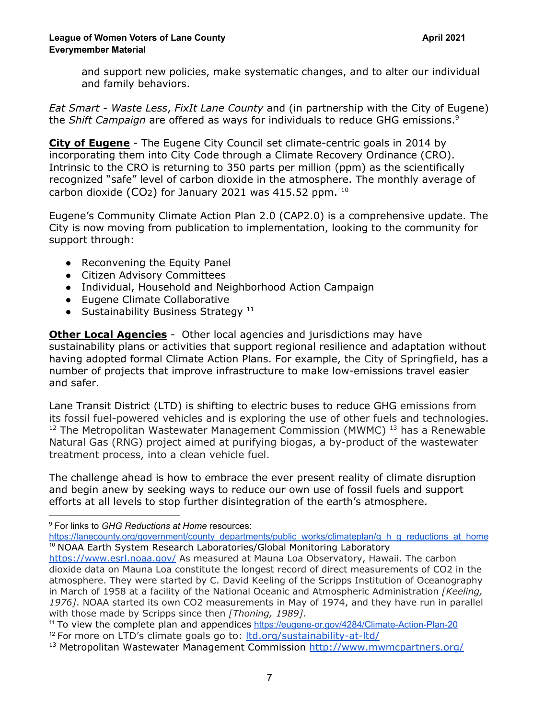and support new policies, make systematic changes, and to alter our individual and family behaviors.

*Eat Smart - Waste Less*, *FixIt Lane County* and (in partnership with the City of Eugene) the *Shift Campaign* are offered as ways for individuals to reduce GHG emissions. 9

**City of Eugene** - The Eugene City Council set climate-centric goals in 2014 by incorporating them into City Code through a Climate Recovery Ordinance (CRO). Intrinsic to the CRO is returning to 350 parts per million (ppm) as the [scientifically](https://e360.yale.edu/features/how-the-world-passed-a-carbon-threshold-400ppm-and-why-it-matters) [recognized](https://e360.yale.edu/features/how-the-world-passed-a-carbon-threshold-400ppm-and-why-it-matters) "safe" level of carbon dioxide in the atmosphere. The monthly average of carbon dioxide (CO2) for January 2021 was 415.52 ppm.  $^{10}$ 

Eugene's Community Climate Action Plan 2.0 (CAP2.0) is a comprehensive update. The City is now moving from publication to implementation, looking to the community for support through:

- Reconvening the Equity Panel
- Citizen Advisory Committees
- Individual, Household and Neighborhood Action Campaign
- Eugene Climate Collaborative
- $\bullet$  Sustainability Business Strategy<sup>11</sup>

**Other Local Agencies** - Other local agencies and jurisdictions may have sustainability plans or activities that support regional resilience and adaptation without having adopted formal Climate Action Plans. For example, the City of Springfield, has a number of projects that improve infrastructure to make low-emissions travel easier and safer.

Lane Transit District (LTD) is shifting to electric buses to reduce GHG emissions from its fossil fuel-powered vehicles and is exploring the use of other fuels and technologies.  $12$  The Metropolitan Wastewater Management Commission (MWMC)  $13$  has a Renewable Natural Gas (RNG) project aimed at purifying biogas, a by-product of the wastewater treatment process, into a clean vehicle fuel.

The challenge ahead is how to embrace the ever present reality of climate disruption and begin anew by seeking ways to reduce our own use of fossil fuels and support efforts at all levels to stop further disintegration of the earth's atmosphere.

<sup>9</sup> For links to *GHG Reductions at Home* resources:

<sup>10</sup> NOAA Earth System Research Laboratories/Global Monitoring Laboratory [https://lanecounty.org/government/county\\_departments/public\\_works/climateplan/g\\_h\\_g\\_reductions\\_at\\_home](https://lanecounty.org/government/county_departments/public_works/climateplan/g_h_g_reductions_at_home)

<https://www.esrl.noaa.gov/> As measured at Mauna Loa Observatory, Hawaii. The carbon dioxide data on Mauna Loa constitute the longest record of direct measurements of CO2 in the atmosphere. They were started by C. David Keeling of the Scripps Institution of Oceanography in March of 1958 at a facility of the National Oceanic and Atmospheric Administration *[Keeling, 1976]*. NOAA started its own CO2 measurements in May of 1974, and they have run in parallel with those made by Scripps since then *[Thoning, 1989]*.

<sup>&</sup>lt;sup>12</sup> For more on LTD's climate goals go to: [ltd.org/sustainability-at-ltd/](https://nam12.safelinks.protection.outlook.com/?url=http%3A%2F%2Fltd.org%2Fsustainability-at-ltd%2F&data=04%7C01%7Ctheresa.brand%40ltd.org%7C48f388e94e3f43a37b7c08d8e5881a30%7C0399c6c9842c4bb98fe3b527450577e8%7C0%7C0%7C637511720593198802%7CUnknown%7CTWFpbGZsb3d8eyJWIjoiMC4wLjAwMDAiLCJQIjoiV2luMzIiLCJBTiI6Ik1haWwiLCJXVCI6Mn0%3D%7C2000&sdata=LguT0S1c1%2BNyl4bYfPXPXrt6T00zp8m54b10%2B0T%2FOcA%3D&reserved=0) <sup>11</sup> To view the complete plan and appendices <https://eugene-or.gov/4284/Climate-Action-Plan-20>

<sup>&</sup>lt;sup>13</sup> Metropolitan Wastewater Management Commission <http://www.mwmcpartners.org/>